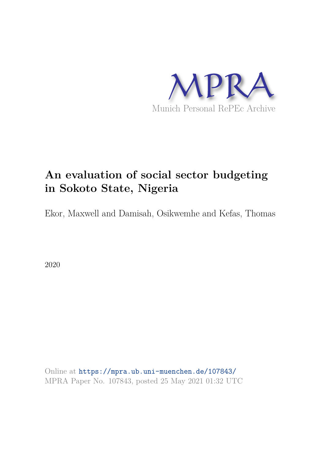

# **An evaluation of social sector budgeting in Sokoto State, Nigeria**

Ekor, Maxwell and Damisah, Osikwemhe and Kefas, Thomas

2020

Online at https://mpra.ub.uni-muenchen.de/107843/ MPRA Paper No. 107843, posted 25 May 2021 01:32 UTC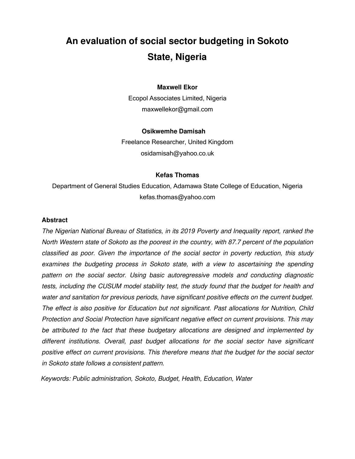## **An evaluation of social sector budgeting in Sokoto State, Nigeria**

#### **Maxwell Ekor**

Ecopol Associates Limited, Nigeria [maxwellekor@gmail.com](mailto:maxwellekor@gmail.com) 

#### **Osikwemhe Damisah**

Freelance Researcher, United Kingdom [osidamisah@yahoo.co.uk](mailto:osidamisah@yahoo.co.uk) 

#### **Kefas Thomas**

Department of General Studies Education, Adamawa State College of Education, Nigeria [kefas.thomas@yahoo.com](mailto:kefas.thomas@yahoo.com) 

#### **Abstract**

*The Nigerian National Bureau of Statistics, in its 2019 Poverty and Inequality report, ranked the North Western state of Sokoto as the poorest in the country, with 87.7 percent of the population classified as poor. Given the importance of the social sector in poverty reduction, this study*  examines the budgeting process in Sokoto state, with a view to ascertaining the spending *pattern on the social sector. Using basic autoregressive models and conducting diagnostic tests, including the CUSUM model stability test, the study found that the budget for health and water and sanitation for previous periods, have significant positive effects on the current budget. The effect is also positive for Education but not significant. Past allocations for Nutrition, Child Protection and Social Protection have significant negative effect on current provisions. This may be attributed to the fact that these budgetary allocations are designed and implemented by different institutions. Overall, past budget allocations for the social sector have significant positive effect on current provisions. This therefore means that the budget for the social sector in Sokoto state follows a consistent pattern.* 

*Keywords: Public administration, Sokoto, Budget, Health, Education, Water*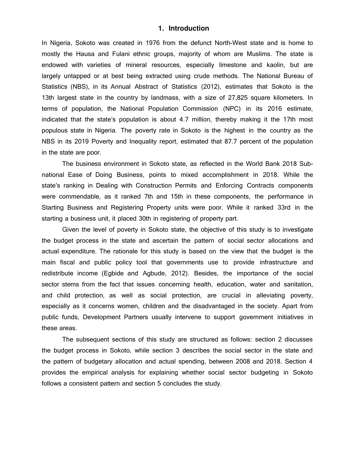#### **1. Introduction**

In Nigeria, Sokoto was created in 1976 from the defunct North-West state and is home to mostly the Hausa and Fulani ethnic groups, majority of whom are Muslims. The state is endowed with varieties of mineral resources, especially limestone and kaolin, but are largely untapped or at best being extracted using crude methods. The National Bureau of Statistics (NBS), in its Annual Abstract of Statistics (2012), estimates that Sokoto is the 13th largest state in the country by landmass, with a size of 27,825 square kilometers. In terms of population, the National Population Commission (NPC) in its 2016 estimate, indicated that the state's population is about 4.7 million, thereby making it the 17th most populous state in Nigeria. The poverty rate in Sokoto is the highest in the country as the NBS in its 2019 Poverty and Inequality report, estimated that 87.7 percent of the population in the state are poor.

The business environment in Sokoto state, as reflected in the World Bank 2018 Subnational Ease of Doing Business, points to mixed accomplishment in 2018. While the state's ranking in Dealing with Construction Permits and Enforcing Contracts components were commendable, as it ranked 7th and 15th in these components, the performance in Starting Business and Registering Property units were poor. While it ranked 33rd in the starting a business unit, it placed 30th in registering of property part.

Given the level of poverty in Sokoto state, the objective of this study is to investigate the budget process in the state and ascertain the pattern of social sector allocations and actual expenditure. The rationale for this study is based on the view that the budget is the main fiscal and public policy tool that governments use to provide infrastructure and redistribute income (Egbide and Agbude, 2012). Besides, the importance of the social sector stems from the fact that issues concerning health, education, water and sanitation, and child protection, as well as social protection, are crucial in alleviating poverty, especially as it concerns women, children and the disadvantaged in the society. Apart from public funds, Development Partners usually intervene to support government initiatives in these areas.

The subsequent sections of this study are structured as follows: section 2 discusses the budget process in Sokoto, while section 3 describes the social sector in the state and the pattern of budgetary allocation and actual spending, between 2008 and 2018. Section 4 provides the empirical analysis for explaining whether social sector budgeting in Sokoto follows a consistent pattern and section 5 concludes the study.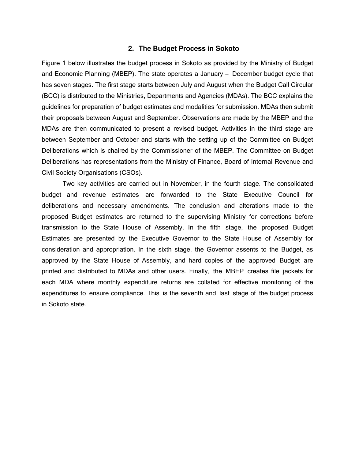#### **2. The Budget Process in Sokoto**

Figure 1 below illustrates the budget process in Sokoto as provided by the Ministry of Budget and Economic Planning (MBEP). The state operates a January – December budget cycle that has seven stages. The first stage starts between July and August when the Budget Call Circular (BCC) is distributed to the Ministries, Departments and Agencies (MDAs). The BCC explains the guidelines for preparation of budget estimates and modalities for submission. MDAs then submit their proposals between August and September. Observations are made by the MBEP and the MDAs are then communicated to present a revised budget. Activities in the third stage are between September and October and starts with the setting up of the Committee on Budget Deliberations which is chaired by the Commissioner of the MBEP. The Committee on Budget Deliberations has representations from the Ministry of Finance, Board of Internal Revenue and Civil Society Organisations (CSOs).

Two key activities are carried out in November, in the fourth stage. The consolidated budget and revenue estimates are forwarded to the State Executive Council for deliberations and necessary amendments. The conclusion and alterations made to the proposed Budget estimates are returned to the supervising Ministry for corrections before transmission to the State House of Assembly. In the fifth stage, the proposed Budget Estimates are presented by the Executive Governor to the State House of Assembly for consideration and appropriation. In the sixth stage, the Governor assents to the Budget, as approved by the State House of Assembly, and hard copies of the approved Budget are printed and distributed to MDAs and other users. Finally, the MBEP creates file jackets for each MDA where monthly expenditure returns are collated for effective monitoring of the expenditures to ensure compliance. This is the seventh and last stage of the budget process in Sokoto state.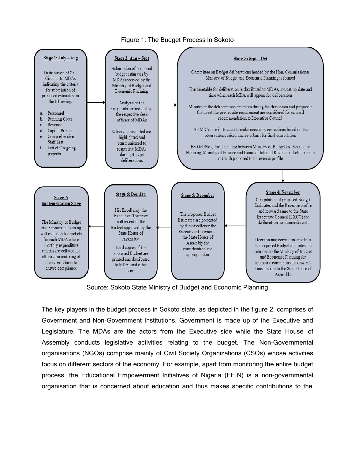

#### Figure 1: The Budget Process in Sokoto

Source: Sokoto State Ministry of Budget and Economic Planning

The key players in the budget process in Sokoto state, as depicted in the figure 2, comprises of Government and Non-Government Institutions. Government is made up of the Executive and Legislature. The MDAs are the actors from the Executive side while the State House of Assembly conducts legislative activities relating to the budget. The Non-Governmental organisations (NGOs) comprise mainly of Civil Society Organizations (CSOs) whose activities focus on different sectors of the economy. For example, apart from monitoring the entire budget process, the Educational Empowerment Initiatives of Nigeria (EEIN) is a non-governmental organisation that is concerned about education and thus makes specific contributions to the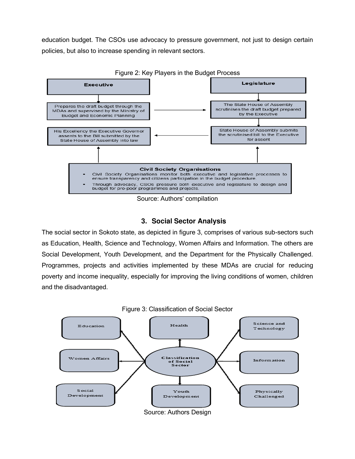education budget. The CSOs use advocacy to pressure government, not just to design certain policies, but also to increase spending in relevant sectors.



Source: Authors' compilation

## **3. Social Sector Analysis**

The social sector in Sokoto state, as depicted in figure 3, comprises of various sub-sectors such as Education, Health, Science and Technology, Women Affairs and Information. The others are Social Development, Youth Development, and the Department for the Physically Challenged. Programmes, projects and activities implemented by these MDAs are crucial for reducing poverty and income inequality, especially for improving the living conditions of women, children and the disadvantaged.



Figure 2: Key Players in the Budget Process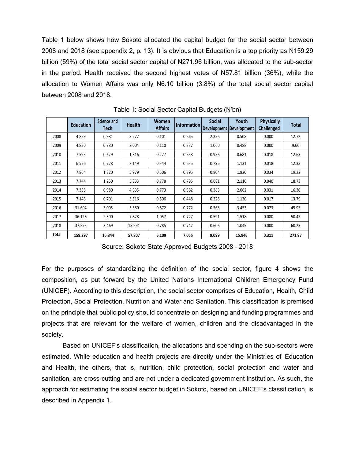Table 1 below shows how Sokoto allocated the capital budget for the social sector between 2008 and 2018 (see appendix 2, p. 13). It is obvious that Education is a top priority as N159.29 billion (59%) of the total social sector capital of N271.96 billion, was allocated to the sub-sector in the period. Health received the second highest votes of N57.81 billion (36%), while the allocation to Women Affairs was only N6.10 billion (3.8%) of the total social sector capital between 2008 and 2018.

|       | <b>Education</b> | Science and<br>Tech | <b>Health</b> | <b>Women</b><br><b>Affairs</b> | <b>Information</b> | <b>Social</b> | Youth<br><b>Development Development</b> | <b>Physically</b><br>Challenged | <b>Total</b> |
|-------|------------------|---------------------|---------------|--------------------------------|--------------------|---------------|-----------------------------------------|---------------------------------|--------------|
| 2008  | 4.859            | 0.981               | 3.277         | 0.101                          | 0.665              | 2.326         | 0.508                                   | 0.000                           | 12.72        |
| 2009  | 4.880            | 0.780               | 2.004         | 0.110                          | 0.337              | 1.060         | 0.488                                   | 0.000                           | 9.66         |
| 2010  | 7.595            | 0.629               | 1.816         | 0.277                          | 0.658              | 0.956         | 0.681                                   | 0.018                           | 12.63        |
| 2011  | 6.526            | 0.728               | 2.149         | 0.344                          | 0.635              | 0.795         | 1.131                                   | 0.018                           | 12.33        |
| 2012  | 7.864            | 1.320               | 5.979         | 0.506                          | 0.895              | 0.804         | 1.820                                   | 0.034                           | 19.22        |
| 2013  | 7.744            | 1.250               | 5.333         | 0.778                          | 0.795              | 0.681         | 2.110                                   | 0.040                           | 18.73        |
| 2014  | 7.358            | 0.980               | 4.335         | 0.773                          | 0.382              | 0.383         | 2.062                                   | 0.031                           | 16.30        |
| 2015  | 7.146            | 0.701               | 3.516         | 0.506                          | 0.448              | 0.328         | 1.130                                   | 0.017                           | 13.79        |
| 2016  | 31.604           | 3.005               | 5.580         | 0.872                          | 0.772              | 0.568         | 3.453                                   | 0.073                           | 45.93        |
| 2017  | 36.126           | 2.500               | 7.828         | 1.057                          | 0.727              | 0.591         | 1.518                                   | 0.080                           | 50.43        |
| 2018  | 37.595           | 3.469               | 15.991        | 0.785                          | 0.742              | 0.606         | 1.045                                   | 0.000                           | 60.23        |
| Total | 159.297          | 16.344              | 57.807        | 6.109                          | 7.055              | 9.099         | 15.946                                  | 0.311                           | 271.97       |

Table 1: Social Sector Capital Budgets (N'bn)

Source: Sokoto State Approved Budgets 2008 – 2018

For the purposes of standardizing the definition of the social sector, figure 4 shows the composition, as put forward by the United Nations International Children Emergency Fund (UNICEF). According to this description, the social sector comprises of Education, Health, Child Protection, Social Protection, Nutrition and Water and Sanitation. This classification is premised on the principle that public policy should concentrate on designing and funding programmes and projects that are relevant for the welfare of women, children and the disadvantaged in the society.

Based on UNICEF's classification, the allocations and spending on the sub-sectors were estimated. While education and health projects are directly under the Ministries of Education and Health, the others, that is, nutrition, child protection, social protection and water and sanitation, are cross-cutting and are not under a dedicated government institution. As such, the approach for estimating the social sector budget in Sokoto, based on UNICEF's classification, is described in Appendix 1.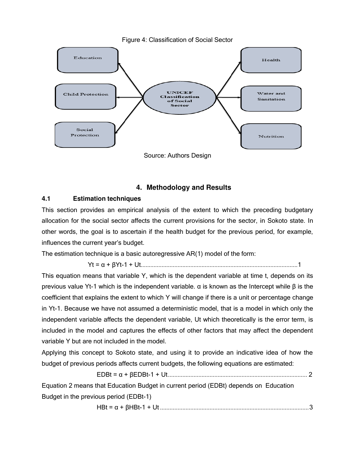

## **4. Methodology and Results**

### **4.1 Estimation techniques**

This section provides an empirical analysis of the extent to which the preceding budgetary allocation for the social sector affects the current provisions for the sector, in Sokoto state. In other words, the goal is to ascertain if the health budget for the previous period, for example, influences the current year's budget.

The estimation technique is a basic autoregressive AR(1) model of the form:

Yt = α + βYt-1 + Ut.................................................................................................. 1

This equation means that variable Y, which is the dependent variable at time t, depends on its previous value Yt-1 which is the independent variable. α is known as the Intercept while β is the coefficient that explains the extent to which Y will change if there is a unit or percentage change in Yt-1. Because we have not assumed a deterministic model, that is a model in which only the independent variable affects the dependent variable, Ut which theoretically is the error term, is included in the model and captures the effects of other factors that may affect the dependent variable Y but are not included in the model.

Applying this concept to Sokoto state, and using it to provide an indicative idea of how the budget of previous periods affects current budgets, the following equations are estimated:

EDBt = α + βEDBt-1 + Ut ....................................................................................... 2

Equation 2 means that Education Budget in current period (EDBt) depends on Education Budget in the previous period (EDBt-1)

HBt = α + βHBt-1 + Ut ............................................................................................. 3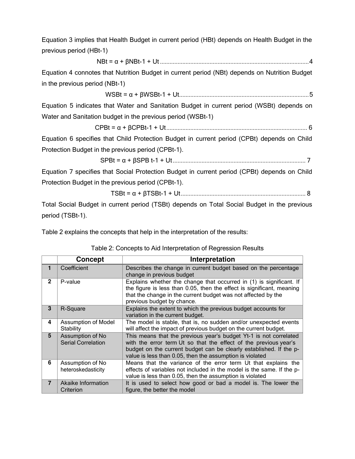Equation 3 implies that Health Budget in current period (HBt) depends on Health Budget in the previous period (HBt-1)

NBt = α + βNBt-1 + Ut ............................................................................................. 4

Equation 4 connotes that Nutrition Budget in current period (NBt) depends on Nutrition Budget in the previous period (NBt-1)

WSBt = α + βWSBt-1 + Ut ................................................................................. 5

Equation 5 indicates that Water and Sanitation Budget in current period (WSBt) depends on Water and Sanitation budget in the previous period (WSBt-1)

CPBt = α + βCPBt-1 + Ut ........................................................................................ 6

Equation 6 specifies that Child Protection Budget in current period (CPBt) depends on Child Protection Budget in the previous period (CPBt-1).

$$
SPBt = \alpha + \beta SPB t - 1 + Ut
$$

Equation 7 specifies that Social Protection Budget in current period (CPBt) depends on Child Protection Budget in the previous period (CPBt-1).

TSBt = α + βTSBt-1 + Ut .............................................................................. 8

Total Social Budget in current period (TSBt) depends on Total Social Budget in the previous period (TSBt-1).

Table 2 explains the concepts that help in the interpretation of the results:

#### Table 2: Concepts to Aid Interpretation of Regression Results

|                | <b>Concept</b>                                | Interpretation                                                                                                                                                                                                                                                          |
|----------------|-----------------------------------------------|-------------------------------------------------------------------------------------------------------------------------------------------------------------------------------------------------------------------------------------------------------------------------|
| 1              | Coefficient                                   | Describes the change in current budget based on the percentage<br>change in previous budget                                                                                                                                                                             |
| $\overline{2}$ | P-value                                       | Explains whether the change that occurred in (1) is significant. If<br>the figure is less than 0.05, then the effect is significant, meaning<br>that the change in the current budget was not affected by the<br>previous budget by chance.                             |
| 3              | R-Square                                      | Explains the extent to which the previous budget accounts for<br>variation in the current budget.                                                                                                                                                                       |
| 4              | Assumption of Model<br>Stability              | The model is stable, that is, no sudden and/or unexpected events<br>will affect the impact of previous budget on the current budget.                                                                                                                                    |
| 5              | Assumption of No<br><b>Serial Correlation</b> | This means that the previous year's budget Yt-1 is not correlated<br>with the error term Ut so that the effect of the previous year's<br>budget on the current budget can be clearly established. If the p-<br>value is less than 0.05, then the assumption is violated |
| 6              | Assumption of No<br>heteroskedasticity        | Means that the variance of the error term Ut that explains the<br>effects of variables not included in the model is the same. If the p-<br>value is less than 0.05, then the assumption is violated                                                                     |
| $\overline{7}$ | Akaike Information<br>Criterion               | It is used to select how good or bad a model is. The lower the<br>figure, the better the model                                                                                                                                                                          |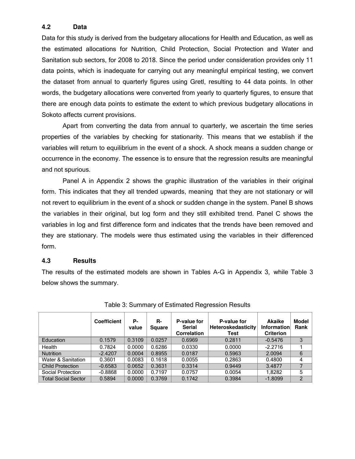### **4.2 Data**

Data for this study is derived from the budgetary allocations for Health and Education, as well as the estimated allocations for Nutrition, Child Protection, Social Protection and Water and Sanitation sub sectors, for 2008 to 2018. Since the period under consideration provides only 11 data points, which is inadequate for carrying out any meaningful empirical testing, we convert the dataset from annual to quarterly figures using Gretl, resulting to 44 data points. In other words, the budgetary allocations were converted from yearly to quarterly figures, to ensure that there are enough data points to estimate the extent to which previous budgetary allocations in Sokoto affects current provisions.

Apart from converting the data from annual to quarterly, we ascertain the time series properties of the variables by checking for stationarity. This means that we establish if the variables will return to equilibrium in the event of a shock. A shock means a sudden change or occurrence in the economy. The essence is to ensure that the regression results are meaningful and not spurious.

Panel A in Appendix 2 shows the graphic illustration of the variables in their original form. This indicates that they all trended upwards, meaning that they are not stationary or will not revert to equilibrium in the event of a shock or sudden change in the system. Panel B shows the variables in their original, but log form and they still exhibited trend. Panel C shows the variables in log and first difference form and indicates that the trends have been removed and they are stationary. The models were thus estimated using the variables in their differenced form.

#### **4.3 Results**

The results of the estimated models are shown in Tables A-G in Appendix 3, while Table 3 below shows the summary.

|                            | <b>Coefficient</b> | Р-<br>value | R-<br><b>Square</b> | P-value for<br><b>Serial</b><br><b>Correlation</b> | P-value for<br><b>Heteroskedasticity</b><br>Test | <b>Akaike</b><br><b>Information</b><br><b>Criterion</b> | <b>Model</b><br>Rank |
|----------------------------|--------------------|-------------|---------------------|----------------------------------------------------|--------------------------------------------------|---------------------------------------------------------|----------------------|
| Education                  | 0.1579             | 0.3109      | 0.0257              | 0.6969                                             | 0.2811                                           | $-0.5476$                                               | 3                    |
| Health                     | 0.7824             | 0.0000      | 0.6286              | 0.0330                                             | 0.0000                                           | $-2.2716$                                               |                      |
| <b>Nutrition</b>           | $-2.4207$          | 0.0004      | 0.8955              | 0.0187                                             | 0.5963                                           | 2.0094                                                  | 6                    |
| Water & Sanitation         | 0.3601             | 0.0083      | 0.1618              | 0.0055                                             | 0.2863                                           | 0.4800                                                  | 4                    |
| <b>Child Protection</b>    | $-0.6583$          | 0.0652      | 0.3631              | 0.3314                                             | 0.9449                                           | 3.4877                                                  |                      |
| Social Protection          | $-0.8868$          | 0.0000      | 0.7197              | 0.0757                                             | 0.0054                                           | 1.8282                                                  | 5                    |
| <b>Total Social Sector</b> | 0.5894             | 0.0000      | 0.3769              | 0.1742                                             | 0.3984                                           | $-1.8099$                                               | $\mathfrak{p}$       |

Table 3: Summary of Estimated Regression Results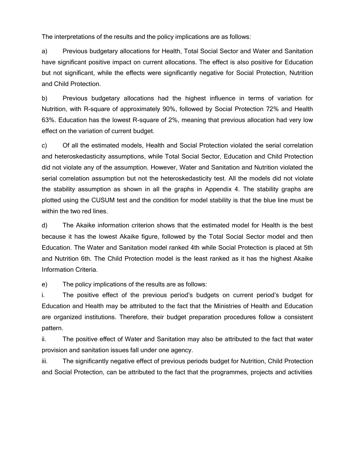The interpretations of the results and the policy implications are as follows:

a) Previous budgetary allocations for Health, Total Social Sector and Water and Sanitation have significant positive impact on current allocations. The effect is also positive for Education but not significant, while the effects were significantly negative for Social Protection, Nutrition and Child Protection.

b) Previous budgetary allocations had the highest influence in terms of variation for Nutrition, with R-square of approximately 90%, followed by Social Protection 72% and Health 63%. Education has the lowest R-square of 2%, meaning that previous allocation had very low effect on the variation of current budget.

c) Of all the estimated models, Health and Social Protection violated the serial correlation and heteroskedasticity assumptions, while Total Social Sector, Education and Child Protection did not violate any of the assumption. However, Water and Sanitation and Nutrition violated the serial correlation assumption but not the heteroskedasticity test. All the models did not violate the stability assumption as shown in all the graphs in Appendix 4. The stability graphs are plotted using the CUSUM test and the condition for model stability is that the blue line must be within the two red lines.

d) The Akaike information criterion shows that the estimated model for Health is the best because it has the lowest Akaike figure, followed by the Total Social Sector model and then Education. The Water and Sanitation model ranked 4th while Social Protection is placed at 5th and Nutrition 6th. The Child Protection model is the least ranked as it has the highest Akaike Information Criteria.

e) The policy implications of the results are as follows:

i. The positive effect of the previous period's budgets on current period's budget for Education and Health may be attributed to the fact that the Ministries of Health and Education are organized institutions. Therefore, their budget preparation procedures follow a consistent pattern.

ii. The positive effect of Water and Sanitation may also be attributed to the fact that water provision and sanitation issues fall under one agency.

iii. The significantly negative effect of previous periods budget for Nutrition, Child Protection and Social Protection, can be attributed to the fact that the programmes, projects and activities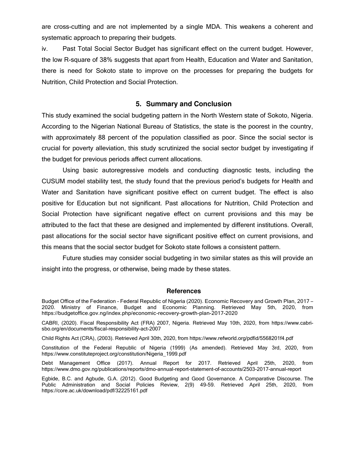are cross-cutting and are not implemented by a single MDA. This weakens a coherent and systematic approach to preparing their budgets.

iv. Past Total Social Sector Budget has significant effect on the current budget. However, the low R-square of 38% suggests that apart from Health, Education and Water and Sanitation, there is need for Sokoto state to improve on the processes for preparing the budgets for Nutrition, Child Protection and Social Protection.

#### **5. Summary and Conclusion**

This study examined the social budgeting pattern in the North Western state of Sokoto, Nigeria. According to the Nigerian National Bureau of Statistics, the state is the poorest in the country, with approximately 88 percent of the population classified as poor. Since the social sector is crucial for poverty alleviation, this study scrutinized the social sector budget by investigating if the budget for previous periods affect current allocations.

Using basic autoregressive models and conducting diagnostic tests, including the CUSUM model stability test, the study found that the previous period's budgets for Health and Water and Sanitation have significant positive effect on current budget. The effect is also positive for Education but not significant. Past allocations for Nutrition, Child Protection and Social Protection have significant negative effect on current provisions and this may be attributed to the fact that these are designed and implemented by different institutions. Overall, past allocations for the social sector have significant positive effect on current provisions, and this means that the social sector budget for Sokoto state follows a consistent pattern.

Future studies may consider social budgeting in two similar states as this will provide an insight into the progress, or otherwise, being made by these states.

#### **References**

Budget Office of the Federation - Federal Republic of Nigeria (2020). Economic Recovery and Growth Plan, 2017 – 2020. Ministry of Finance, Budget and Economic Planning. Retrieved May 5th, 2020, from https://budgetoffice.gov.ng/index.php/economic-recovery-growth-plan-2017-2020

CABRI, (2020). Fiscal Responsibility Act (FRA) 2007, Nigeria. Retrieved May 10th, 2020, from https://www.cabrisbo.org/en/documents/fiscal-responsibility-act-2007

Child Rights Act (CRA), (2003). Retrieved April 30th, 2020, from https[://www.refworld.org/pdfid/5568201f4.pdf](http://www.refworld.org/pdfid/5568201f4.pdf) 

Constitution of the Federal Republic of Nigeria (1999) (As amended). Retrieved May 3rd, 2020, from https[://www.constituteproject.org/constitution/Nigeria\\_1999.pdf](http://www.constituteproject.org/constitution/Nigeria_1999.pdf) 

Debt Management Office (2017). Annual Report for 2017. Retrieved April 25th, 2020, from https[://www.dmo.gov.ng/publications/reports/dmo-annual-report-statement-of-accounts/2503-2017-annual-report](http://www.dmo.gov.ng/publications/reports/dmo-annual-report-statement-of-accounts/2503-2017-annual-report) 

Egbide, B.C. and Agbude, G.A. (2012). Good Budgeting and Good Governance. A Comparative Discourse. The Public Administration and Social Policies Review, 2(9) 49-59. Retrieved April 25th, 2020, from https://core.ac.uk/download/pdf/32225161.pdf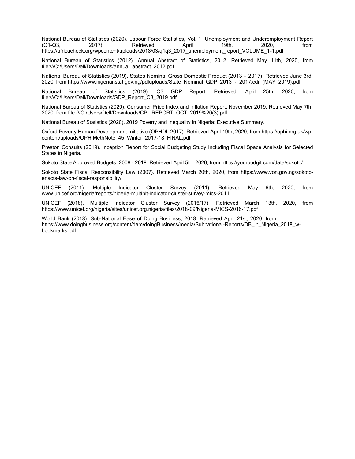National Bureau of Statistics (2020). Labour Force Statistics, Vol. 1: Unemployment and Underemployment Report<br>(01-03. 2017). Retrieved April 19th. 2020. from (Q1-Q3, 2017). Retrieved April 19th, 2020, from https://africacheck.org/wpcontent/uploads/2018/03/q1q3\_2017\_unemployment\_report\_VOLUME\_1-1.pdf

National Bureau of Statistics (2012). Annual Abstract of Statistics, 2012. Retrieved May 11th, 2020, from file:///C:/Users/Dell/Downloads/annual\_abstract\_2012.pdf

National Bureau of Statistics (2019). States Nominal Gross Domestic Product (2013 – 2017), Retrieved June 3rd, 2020, from https[://www.nigerianstat.gov.ng/pdfuploads/State\\_Nominal\\_GDP\\_2013\\_-\\_2017.cdr\\_\(MAY\\_2019\).pdf](http://www.nigerianstat.gov.ng/pdfuploads/State_Nominal_GDP_2013_-_2017.cdr_(MAY_2019).pdf) 

National Bureau of Statistics (2019). Q3 GDP Report. Retrieved, April 25th, 2020, from file:///C:/Users/Dell/Downloads/GDP\_Report\_Q3\_2019.pdf

National Bureau of Statistics (2020). Consumer Price Index and Inflation Report, November 2019. Retrieved May 7th, 2020, from file:///C:/Users/Dell/Downloads/CPI\_REPORT\_OCT\_2019%20(3).pdf

National Bureau of Statistics (2020). 2019 Poverty and Inequality in Nigeria: Executive Summary.

Oxford Poverty Human Development Initiative (OPHDI, 2017). Retrieved April 19th, 2020, from https://ophi.org.uk/wpcontent/uploads/OPHIMethNote\_45\_Winter\_2017-18\_FINAL.pdf

Preston Consults (2019). Inception Report for Social Budgeting Study Including Fiscal Space Analysis for Selected States in Nigeria.

Sokoto State Approved Budgets, 2008 – 2018. Retrieved April 5th, 2020, from https://yourbudgit.com/data/sokoto/

Sokoto State Fiscal Responsibility Law (2007). Retrieved March 20th, 2020, from https:[//www.von.gov.ng/sokoto](http://www.von.gov.ng/sokoto-)enacts-law-on-fiscal-responsibility/

UNICEF (2011). Multiple Indicator Cluster Survey (2011). Retrieved May 6th, 2020, from [www.unicef.org/nigeria/reports/nigeria-multiplt-indicator-cluster-survey-mics-2011](http://www.unicef.org/nigeria/reports/nigeria-multiplt-indicator-cluster-survey-mics-2011) 

UNICEF (2018). Multiple Indicator Cluster Survey (2016/17). Retrieved March 13th, 2020, from https[://www.unicef.org/nigeria/sites/unicef.org.nigeria/files/2018-09/Nigeria-MICS-2016-17.pdf](http://www.unicef.org/nigeria/sites/unicef.org.nigeria/files/2018-09/Nigeria-MICS-2016-17.pdf) 

World Bank (2018). Sub-National Ease of Doing Business, 2018. Retrieved April 21st, 2020, from https[://www.doingbusiness.org/content/dam/doingBusiness/media/Subnational-Reports/DB\\_in\\_Nigeria\\_2018\\_w](http://www.doingbusiness.org/content/dam/doingBusiness/media/Subnational-Reports/DB_in_Nigeria_2018_w-)bookmarks.pdf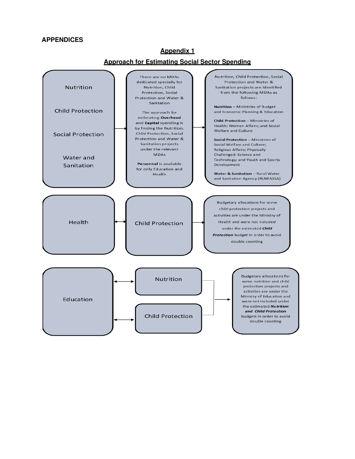#### **APPENDICES**

#### **Approach for Estimating Social Sector Spending** Nutrition, Child Protection, Social There are no MDAs dedicated specially for Protection and Water & Nutrition Nutrition, Child Sanitation projects are identified from the following MDAs as Protection, Social Protection and Water & follows: Sanitation Nutrition - Ministries of Budget **Child Protection** and Economic Planning & Education The approach for estimating Overhead Child Protection - Ministries of and Capital spending is Health; Women Affairs; and Social by finding the Nutrition, Welfare and Culture Child Protection, Social **Social Protection** Protection and Water & Social Protection - Ministries of Sanitation projects Social Welfare and Culture: under the relevant Religious Affairs; Physically-**MDAs** Challenged; Science and Water and Technology; and Youth and Sports Personnel is available Sanitation Development for only Education and Water & Sanitation - Rural Water Health and Sanitation Agency (RUWASSA) Budgetary allocations for some child protection projects and activities are under the Ministry of Health Health and were not included **Child Protection** under the estimated Child Protection budget in order to avoid double counting Budgetary allocations for **Nutrition** some nutrition and child protection projects and activities are under the Ministry of Education and Education were not included under the estimated **Nutrition** and Child Protection **Child Protection** budgets in order to avoid double counting

#### **Appendix 1**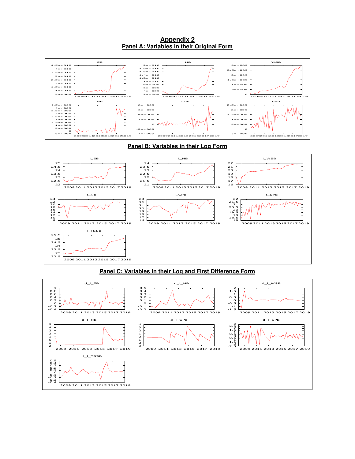**Appendix 2 Panel A: Variables in their Original Form** 



#### **Panel C: Variables in their Log and First Difference Form**

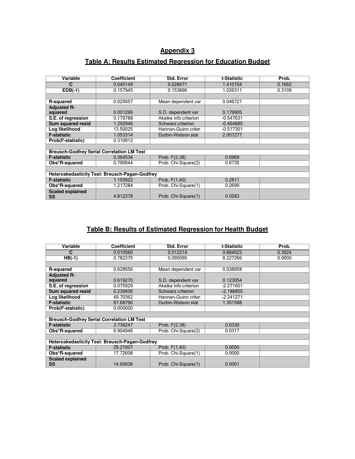## **Appendix 3**

## **Table A: Results Estimated Regression for Education Budget**

| Variable                             | <b>Coefficient</b>                                    | <b>Std. Error</b>     | t-Statistic | Prob.  |
|--------------------------------------|-------------------------------------------------------|-----------------------|-------------|--------|
| C                                    | 0.040149                                              | 0.028471              | 1.410154    | 0.1662 |
| $EDB(-1)$                            | 0.157945                                              | 0.153896              | 1.026311    | 0.3109 |
|                                      |                                                       |                       |             |        |
| <b>R-squared</b>                     | 0.025657                                              | Mean dependent var    | 0.046721    |        |
| <b>Adjusted R-</b>                   |                                                       |                       |             |        |
| squared                              | 0.001299                                              | S.D. dependent var    | 0.179905    |        |
| S.E. of regression                   | 0.179788                                              | Akaike info criterion | $-0.547631$ |        |
| <b>Sum squared resid</b>             | 1.292946                                              | Schwarz criterion     | $-0.464885$ |        |
| Log likelihood                       | 13.50025                                              | Hannan-Quinn criter.  | $-0.517301$ |        |
| <b>F-statistic</b>                   | 1.053314                                              | Durbin-Watson stat    | 2.007277    |        |
| Prob(F-statistic)                    | 0.310912                                              |                       |             |        |
|                                      |                                                       |                       |             |        |
|                                      | <b>Breusch-Godfrey Serial Correlation LM Test</b>     |                       |             |        |
| <b>F-statistic</b>                   | 0.364534                                              | Prob. F(2,38)         | 0.6969      |        |
| Obs*R-squared                        | 0.790644                                              | Prob. Chi-Square(2)   | 0.6735      |        |
|                                      |                                                       |                       |             |        |
|                                      | <b>Heteroskedasticity Test: Breusch-Pagan-Godfrey</b> |                       |             |        |
| <b>F-statistic</b>                   | 1.193922                                              | Prob. F(1,40)         | 0.2811      |        |
| Obs*R-squared                        | 1.217284                                              | Prob. Chi-Square(1)   | 0.2699      |        |
| <b>Scaled explained</b><br><b>SS</b> | 4.812378                                              | Prob. Chi-Square(1)   | 0.0283      |        |

## **Table B: Results of Estimated Regression for Health Budget**

| Variable<br><b>Coefficient</b>                    | <b>Std. Error</b>     | t-Statistic | Prob.  |
|---------------------------------------------------|-----------------------|-------------|--------|
| 0.010560<br>C                                     | 0.012214              | 0.864623    | 0.3924 |
| $HB(-1)$<br>0.782375                              | 0.095095              | 8.227266    | 0.0000 |
|                                                   |                       |             |        |
| 0.628556<br>R-squared                             | Mean dependent var    | 0.038958    |        |
| <b>Adjusted R-</b>                                |                       |             |        |
| 0.619270<br>squared                               | S.D. dependent var    | 0.123054    |        |
| 0.075929<br>S.E. of regression                    | Akaike info criterion | $-2.271601$ |        |
| Sum squared resid<br>0.230606                     | Schwarz criterion     | $-2.188855$ |        |
| Log likelihood<br>49.70362                        | Hannan-Quinn criter.  | -2.241271   |        |
| <b>F-statistic</b><br>67.68790                    | Durbin-Watson stat    | 1.351588    |        |
| Prob(F-statistic)<br>0.000000                     |                       |             |        |
|                                                   |                       |             |        |
| <b>Breusch-Godfrey Serial Correlation LM Test</b> |                       |             |        |
| <b>F-statistic</b><br>3.738247                    | Prob. F(2,38)         | 0.0330      |        |
| Obs*R-squared<br>6.904946                         | Prob. Chi-Square(2)   | 0.0317      |        |
|                                                   |                       |             |        |
| Heteroskedasticity Test: Breusch-Pagan-Godfrey    |                       |             |        |
| 29.21007<br><b>F-statistic</b>                    | Prob. F(1,40)         | 0.0000      |        |
| 17.72608<br>Obs*R-squared                         | Prob. Chi-Square(1)   | 0.0000      |        |
| <b>Scaled explained</b><br><b>SS</b><br>14.69936  | Prob. Chi-Square(1)   | 0.0001      |        |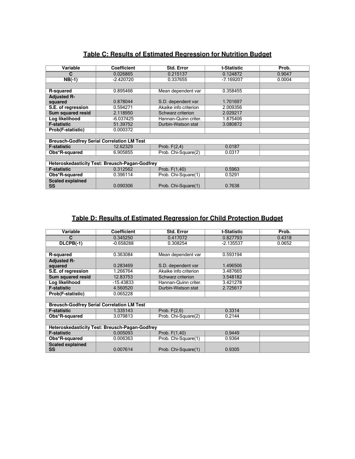| Variable                | <b>Coefficient</b>                                    | <b>Std. Error</b>     | t-Statistic | Prob.  |
|-------------------------|-------------------------------------------------------|-----------------------|-------------|--------|
| C                       | 0.026865                                              | 0.215137              | 0.124872    | 0.9047 |
| $NB(-1)$                | $-2.420720$                                           | 0.337655              | $-7.169207$ | 0.0004 |
|                         |                                                       |                       |             |        |
| R-squared               | 0.895466                                              | Mean dependent var    | 0.358455    |        |
| <b>Adjusted R-</b>      |                                                       |                       |             |        |
| squared                 | 0.878044                                              | S.D. dependent var    | 1.701697    |        |
| S.E. of regression      | 0.594271                                              | Akaike info criterion | 2.009356    |        |
| Sum squared resid       | 2.118950                                              | Schwarz criterion     | 2.029217    |        |
| Log likelihood          | $-6.037425$                                           | Hannan-Quinn criter.  | 1.875406    |        |
| <b>F-statistic</b>      | 51.39752                                              | Durbin-Watson stat    | 3.080872    |        |
| Prob(F-statistic)       | 0.000372                                              |                       |             |        |
|                         |                                                       |                       |             |        |
|                         | <b>Breusch-Godfrey Serial Correlation LM Test</b>     |                       |             |        |
| <b>F-statistic</b>      | 12.62329                                              | Prob. $F(2,4)$        | 0.0187      |        |
| Obs*R-squared           | 6.905855                                              | Prob. Chi-Square(2)   | 0.0317      |        |
|                         |                                                       |                       |             |        |
|                         | <b>Heteroskedasticity Test: Breusch-Pagan-Godfrey</b> |                       |             |        |
| <b>F-statistic</b>      | 0.312562                                              | Prob. F(1,40)         | 0.5963      |        |
| Obs*R-squared           | 0.396114                                              | Prob. Chi-Square(1)   | 0.5291      |        |
| <b>Scaled explained</b> |                                                       |                       |             |        |
| <b>SS</b>               | 0.090306                                              | Prob. Chi-Square(1)   | 0.7638      |        |

## **Table C: Results of Estimated Regression for Nutrition Budget**

## **Table D: Results of Estimated Regression for Child Protection Budget**

| Variable                             | <b>Coefficient</b>                                | <b>Std. Error</b>     | t-Statistic | Prob.  |
|--------------------------------------|---------------------------------------------------|-----------------------|-------------|--------|
| С                                    | 0.345250                                          | 0.417072              | 0.827793    | 0.4318 |
| DLCPB(-1)                            | $-0.658288$                                       | 0.308254              | -2.135537   | 0.0652 |
|                                      |                                                   |                       |             |        |
| <b>R-squared</b>                     | 0.363084                                          | Mean dependent var    | 0.593194    |        |
| <b>Adjusted R-</b>                   |                                                   |                       |             |        |
| squared                              | 0.283469                                          | S.D. dependent var    | 1.496506    |        |
| S.E. of regression                   | 1.266764                                          | Akaike info criterion | 3.487665    |        |
| <b>Sum squared resid</b>             | 12.83753                                          | Schwarz criterion     | 3.548182    |        |
| Log likelihood                       | -15.43833                                         | Hannan-Quinn criter.  | 3.421278    |        |
| <b>F-statistic</b>                   | 4.560520                                          | Durbin-Watson stat    | 2.725617    |        |
| Prob(F-statistic)                    | 0.065228                                          |                       |             |        |
|                                      |                                                   |                       |             |        |
|                                      | <b>Breusch-Godfrey Serial Correlation LM Test</b> |                       |             |        |
| <b>F-statistic</b>                   | 1.335143                                          | Prob. $F(2,6)$        | 0.3314      |        |
| Obs*R-squared                        | 3.079813                                          | Prob. Chi-Square(2)   | 0.2144      |        |
|                                      |                                                   |                       |             |        |
|                                      | Heteroskedasticity Test: Breusch-Pagan-Godfrey    |                       |             |        |
| <b>F-statistic</b>                   | 0.005093                                          | Prob. F(1,40)         | 0.9449      |        |
| Obs*R-squared                        | 0.006363                                          | Prob. Chi-Square(1)   | 0.9364      |        |
| <b>Scaled explained</b><br><b>SS</b> | 0.007614                                          | Prob. Chi-Square(1)   | 0.9305      |        |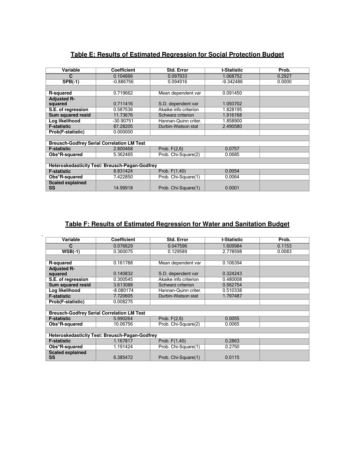## **Table E: Results of Estimated Regression for Social Protection Budget**

| Variable                | <b>Coefficient</b>                                | <b>Std. Error</b>     | t-Statistic | Prob.  |
|-------------------------|---------------------------------------------------|-----------------------|-------------|--------|
| C                       | 0.104666                                          | 0.097933              | 1.068752    | 0.2927 |
| $SPB(-1)$               | -0.886756                                         | 0.094916              | -9.342486   | 0.0000 |
|                         |                                                   |                       |             |        |
| <b>R-squared</b>        | 0.719662                                          | Mean dependent var    | 0.091450    |        |
| <b>Adjusted R-</b>      |                                                   |                       |             |        |
| squared                 | 0.711416                                          | S.D. dependent var    | 1.093702    |        |
| S.E. of regression      | 0.587536                                          | Akaike info criterion | 1.828195    |        |
| Sum squared resid       | 11.73676                                          | Schwarz criterion     | 1.916168    |        |
| Log likelihood          | -30.90751                                         | Hannan-Quinn criter.  | 1.858900    |        |
| <b>F-statistic</b>      | 87.28205                                          | Durbin-Watson stat    | 2.490580    |        |
| Prob(F-statistic)       | 0.000000                                          |                       |             |        |
|                         |                                                   |                       |             |        |
|                         | <b>Breusch-Godfrey Serial Correlation LM Test</b> |                       |             |        |
| <b>F-statistic</b>      | 2.800468                                          | Prob. $F(2,6)$        | 0.0757      |        |
| Obs*R-squared           | 5.362465                                          | Prob. Chi-Square(2)   | 0.0685      |        |
|                         |                                                   |                       |             |        |
|                         | Heteroskedasticity Test: Breusch-Pagan-Godfrey    |                       |             |        |
| <b>F-statistic</b>      | 8.831424                                          | Prob. F(1,40)         | 0.0054      |        |
| Obs*R-squared           | 7.422850                                          | Prob. Chi-Square(1)   | 0.0064      |        |
| <b>Scaled explained</b> |                                                   |                       |             |        |
| SS                      | 14.99918                                          | Prob. Chi-Square(1)   | 0.0001      |        |

## **Table F: Results of Estimated Regression for Water and Sanitation Budget**

F

| Variable                      | <b>Coefficient</b>                                | <b>Std. Error</b>     | t-Statistic | Prob.  |
|-------------------------------|---------------------------------------------------|-----------------------|-------------|--------|
| C                             | 0.076629                                          | 0.047596              | 1.609984    | 0.1153 |
| $WSB(-1)$                     | 0.360075                                          | 0.129589              | 2.778598    | 0.0083 |
|                               |                                                   |                       |             |        |
| R-squared                     | 0.161788                                          | Mean dependent var    | 0.106394    |        |
| <b>Adjusted R-</b>            |                                                   |                       |             |        |
| squared                       | 0.140832                                          | S.D. dependent var    | 0.324243    |        |
| S.E. of regression            | 0.300545                                          | Akaike info criterion | 0.480008    |        |
| <b>Sum squared resid</b>      | 3.613088                                          | Schwarz criterion     | 0.562754    |        |
| Log likelihood                | $-8.080174$                                       | Hannan-Quinn criter.  | 0.510338    |        |
| <b>F-statistic</b>            | 7.720605                                          | Durbin-Watson stat    | 1.797487    |        |
| Prob(F-statistic)             | 0.008275                                          |                       |             |        |
|                               |                                                   |                       |             |        |
|                               | <b>Breusch-Godfrey Serial Correlation LM Test</b> |                       |             |        |
| <b>F-statistic</b>            | 5.990264                                          | Prob. $F(2,6)$        | 0.0055      |        |
| Obs*R-squared                 | 10.06756                                          | Prob. Chi-Square(2)   | 0.0065      |        |
|                               |                                                   |                       |             |        |
|                               | Heteroskedasticity Test: Breusch-Pagan-Godfrey    |                       |             |        |
| <b>F-statistic</b>            | 1.167817                                          | Prob. F(1,40)         | 0.2863      |        |
| Obs*R-squared                 | 1.191424                                          | Prob. Chi-Square(1)   | 0.2750      |        |
| <b>Scaled explained</b><br>SS | 6.385472                                          | Prob. Chi-Square(1)   | 0.0115      |        |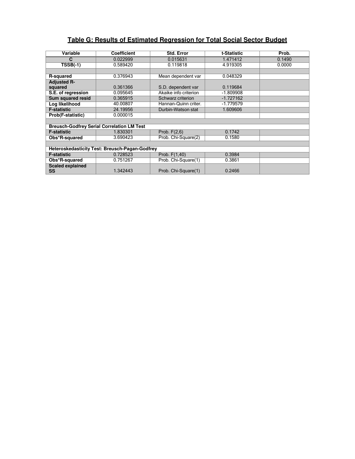## **Table G: Results of Estimated Regression for Total Social Sector Budget**

| Variable                | <b>Coefficient</b>                                    | <b>Std. Error</b>     | t-Statistic | Prob.  |
|-------------------------|-------------------------------------------------------|-----------------------|-------------|--------|
| C                       | 0.022999                                              | 0.015631              | 1.471412    | 0.1490 |
| <b>TSSB(-1)</b>         | 0.589420                                              | 0.119818              | 4.919305    | 0.0000 |
|                         |                                                       |                       |             |        |
| <b>R-squared</b>        | 0.376943                                              | Mean dependent var    | 0.048329    |        |
| <b>Adjusted R-</b>      |                                                       |                       |             |        |
| squared                 | 0.361366                                              | S.D. dependent var    | 0.119684    |        |
| S.E. of regression      | 0.095645                                              | Akaike info criterion | $-1.809908$ |        |
| Sum squared resid       | 0.365915                                              | Schwarz criterion     | $-1.727162$ |        |
| Log likelihood          | 40.00807                                              | Hannan-Quinn criter.  | $-1.779579$ |        |
| <b>F-statistic</b>      | 24.19956                                              | Durbin-Watson stat    | 1.609606    |        |
| Prob(F-statistic)       | 0.000015                                              |                       |             |        |
|                         |                                                       |                       |             |        |
|                         | <b>Breusch-Godfrey Serial Correlation LM Test</b>     |                       |             |        |
| <b>F-statistic</b>      | 1.830301                                              | Prob. $F(2,6)$        | 0.1742      |        |
| Obs*R-squared           | 3.690423                                              | Prob. Chi-Square(2)   | 0.1580      |        |
|                         |                                                       |                       |             |        |
|                         | <b>Heteroskedasticity Test: Breusch-Pagan-Godfrey</b> |                       |             |        |
| <b>F-statistic</b>      | 0.728523                                              | Prob. F(1,40)         | 0.3984      |        |
| Obs*R-squared           | 0.751267                                              | Prob. Chi-Square(1)   | 0.3861      |        |
| <b>Scaled explained</b> |                                                       |                       |             |        |
| SS                      | 1.342443                                              | Prob. Chi-Square(1)   | 0.2466      |        |